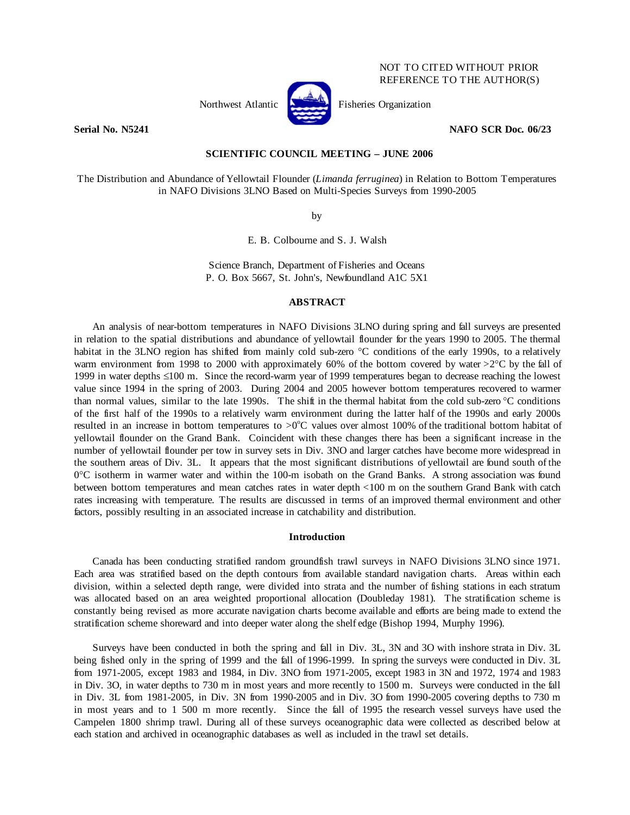## NOT TO CITED WITHOUT PRIOR REFERENCE TO THE AUTHOR(S)



Northwest Atlantic **Atlantic** Fisheries Organization

**Serial No. N5241 NAFO SCR Doc. 06/23** 

# **SCIENTIFIC COUNCIL MEETING – JUNE 2006**

The Distribution and Abundance of Yellowtail Flounder (*Limanda ferruginea*) in Relation to Bottom Temperatures in NAFO Divisions 3LNO Based on Multi-Species Surveys from 1990-2005

by

E. B. Colbourne and S. J. Walsh

Science Branch, Department of Fisheries and Oceans P. O. Box 5667, St. John's, Newfoundland A1C 5X1

### **ABSTRACT**

An analysis of near-bottom temperatures in NAFO Divisions 3LNO during spring and fall surveys are presented in relation to the spatial distributions and abundance of yellowtail flounder for the years 1990 to 2005. The thermal habitat in the 3LNO region has shifted from mainly cold sub-zero °C conditions of the early 1990s, to a relatively warm environment from 1998 to 2000 with approximately 60% of the bottom covered by water >2°C by the fall of 1999 in water depths ≤100 m. Since the record-warm year of 1999 temperatures began to decrease reaching the lowest value since 1994 in the spring of 2003. During 2004 and 2005 however bottom temperatures recovered to warmer than normal values, similar to the late 1990s. The shift in the thermal habitat from the cold sub-zero  $\degree$ C conditions of the first half of the 1990s to a relatively warm environment during the latter half of the 1990s and early 2000s resulted in an increase in bottom temperatures to  $>0^{\circ}$ C values over almost 100% of the traditional bottom habitat of yellowtail flounder on the Grand Bank. Coincident with these changes there has been a significant increase in the number of yellowtail flounder per tow in survey sets in Div. 3NO and larger catches have become more widespread in the southern areas of Div. 3L. It appears that the most significant distributions of yellowtail are found south of the 0°C isotherm in warmer water and within the 100-m isobath on the Grand Banks. A strong association was found between bottom temperatures and mean catches rates in water depth <100 m on the southern Grand Bank with catch rates increasing with temperature. The results are discussed in terms of an improved thermal environment and other factors, possibly resulting in an associated increase in catchability and distribution.

## **Introduction**

Canada has been conducting stratified random groundfish trawl surveys in NAFO Divisions 3LNO since 1971. Each area was stratified based on the depth contours from available standard navigation charts. Areas within each division, within a selected depth range, were divided into strata and the number of fishing stations in each stratum was allocated based on an area weighted proportional allocation (Doubleday 1981). The stratification scheme is constantly being revised as more accurate navigation charts become available and efforts are being made to extend the stratification scheme shoreward and into deeper water along the shelf edge (Bishop 1994, Murphy 1996).

Surveys have been conducted in both the spring and fall in Div. 3L, 3N and 3O with inshore strata in Div. 3L being fished only in the spring of 1999 and the fall of 1996-1999. In spring the surveys were conducted in Div. 3L from 1971-2005, except 1983 and 1984, in Div. 3NO from 1971-2005, except 1983 in 3N and 1972, 1974 and 1983 in Div. 3O, in water depths to 730 m in most years and more recently to 1500 m. Surveys were conducted in the fall in Div. 3L from 1981-2005, in Div. 3N from 1990-2005 and in Div. 3O from 1990-2005 covering depths to 730 m in most years and to 1 500 m more recently. Since the fall of 1995 the research vessel surveys have used the Campelen 1800 shrimp trawl. During all of these surveys oceanographic data were collected as described below at each station and archived in oceanographic databases as well as included in the trawl set details.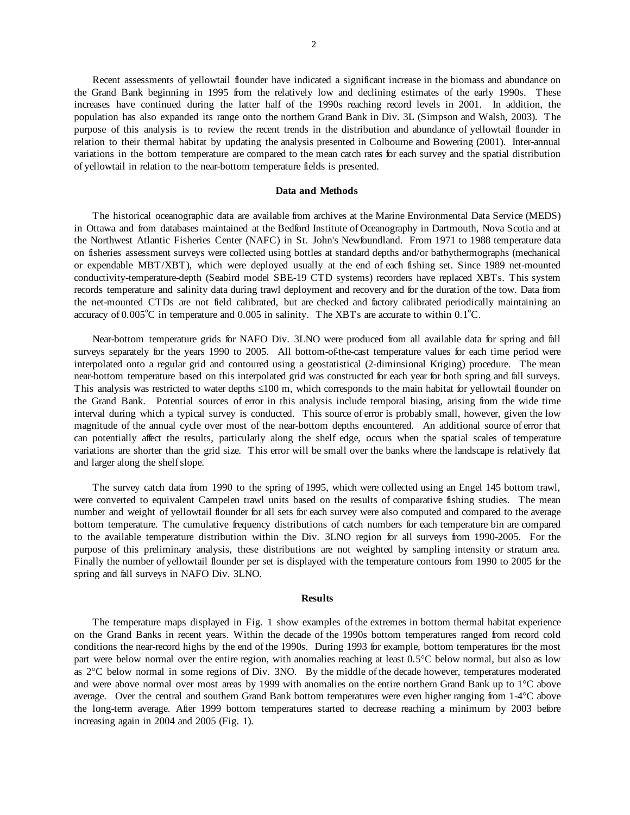Recent assessments of yellowtail flounder have indicated a significant increase in the biomass and abundance on the Grand Bank beginning in 1995 from the relatively low and declining estimates of the early 1990s. These increases have continued during the latter half of the 1990s reaching record levels in 2001. In addition, the population has also expanded its range onto the northern Grand Bank in Div. 3L (Simpson and Walsh, 2003). The purpose of this analysis is to review the recent trends in the distribution and abundance of yellowtail flounder in relation to their thermal habitat by updating the analysis presented in Colbourne and Bowering (2001). Inter-annual variations in the bottom temperature are compared to the mean catch rates for each survey and the spatial distribution of yellowtail in relation to the near-bottom temperature fields is presented.

#### **Data and Methods**

The historical oceanographic data are available from archives at the Marine Environmental Data Service (MEDS) in Ottawa and from databases maintained at the Bedford Institute of Oceanography in Dartmouth, Nova Scotia and at the Northwest Atlantic Fisheries Center (NAFC) in St. John's Newfoundland. From 1971 to 1988 temperature data on fisheries assessment surveys were collected using bottles at standard depths and/or bathythermographs (mechanical or expendable MBT/XBT), which were deployed usually at the end of each fishing set. Since 1989 net-mounted conductivity-temperature-depth (Seabird model SBE-19 CTD systems) recorders have replaced XBTs. This system records temperature and salinity data during trawl deployment and recovery and for the duration of the tow. Data from the net-mounted CTDs are not field calibrated, but are checked and factory calibrated periodically maintaining an accuracy of  $0.005^{\circ}$ C in temperature and  $0.005$  in salinity. The XBTs are accurate to within  $0.1^{\circ}$ C.

Near-bottom temperature grids for NAFO Div. 3LNO were produced from all available data for spring and fall surveys separately for the years 1990 to 2005. All bottom-of-the-cast temperature values for each time period were interpolated onto a regular grid and contoured using a geostatistical (2-diminsional Kriging) procedure. The mean near-bottom temperature based on this interpolated grid was constructed for each year for both spring and fall surveys. This analysis was restricted to water depths  $\leq 100$  m, which corresponds to the main habitat for yellowtail flounder on the Grand Bank. Potential sources of error in this analysis include temporal biasing, arising from the wide time interval during which a typical survey is conducted. This source of error is probably small, however, given the low magnitude of the annual cycle over most of the near-bottom depths encountered. An additional source of error that can potentially affect the results, particularly along the shelf edge, occurs when the spatial scales of temperature variations are shorter than the grid size. This error will be small over the banks where the landscape is relatively flat and larger along the shelf slope.

 The survey catch data from 1990 to the spring of 1995, which were collected using an Engel 145 bottom trawl, were converted to equivalent Campelen trawl units based on the results of comparative fishing studies. The mean number and weight of yellowtail flounder for all sets for each survey were also computed and compared to the average bottom temperature. The cumulative frequency distributions of catch numbers for each temperature bin are compared to the available temperature distribution within the Div. 3LNO region for all surveys from 1990-2005. For the purpose of this preliminary analysis, these distributions are not weighted by sampling intensity or stratum area. Finally the number of yellowtail flounder per set is displayed with the temperature contours from 1990 to 2005 for the spring and fall surveys in NAFO Div. 3LNO.

#### **Results**

 The temperature maps displayed in Fig. 1 show examples of the extremes in bottom thermal habitat experience on the Grand Banks in recent years. Within the decade of the 1990s bottom temperatures ranged from record cold conditions the near-record highs by the end of the 1990s. During 1993 for example, bottom temperatures for the most part were below normal over the entire region, with anomalies reaching at least 0.5°C below normal, but also as low as 2°C below normal in some regions of Div. 3NO. By the middle of the decade however, temperatures moderated and were above normal over most areas by 1999 with anomalies on the entire northern Grand Bank up to 1°C above average. Over the central and southern Grand Bank bottom temperatures were even higher ranging from 1-4°C above the long-term average. After 1999 bottom temperatures started to decrease reaching a minimum by 2003 before increasing again in 2004 and 2005 (Fig. 1).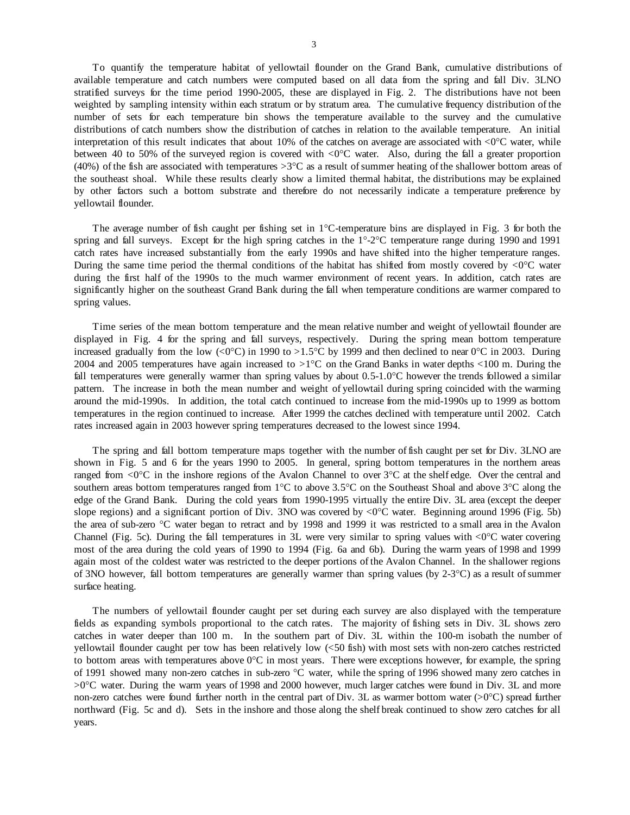To quantify the temperature habitat of yellowtail flounder on the Grand Bank, cumulative distributions of available temperature and catch numbers were computed based on all data from the spring and fall Div. 3LNO stratified surveys for the time period 1990-2005, these are displayed in Fig. 2. The distributions have not been weighted by sampling intensity within each stratum or by stratum area. The cumulative frequency distribution of the number of sets for each temperature bin shows the temperature available to the survey and the cumulative distributions of catch numbers show the distribution of catches in relation to the available temperature. An initial interpretation of this result indicates that about 10% of the catches on average are associated with  $\langle 0^{\circ}C \rangle$  water, while between 40 to 50% of the surveyed region is covered with <0°C water. Also, during the fall a greater proportion (40%) of the fish are associated with temperatures  $>3^{\circ}C$  as a result of summer heating of the shallower bottom areas of the southeast shoal. While these results clearly show a limited thermal habitat, the distributions may be explained by other factors such a bottom substrate and therefore do not necessarily indicate a temperature preference by yellowtail flounder.

The average number of fish caught per fishing set in 1°C-temperature bins are displayed in Fig. 3 for both the spring and fall surveys. Except for the high spring catches in the 1°-2°C temperature range during 1990 and 1991 catch rates have increased substantially from the early 1990s and have shifted into the higher temperature ranges. During the same time period the thermal conditions of the habitat has shifted from mostly covered by  $\langle 0^\circ C \rangle$  water during the first half of the 1990s to the much warmer environment of recent years. In addition, catch rates are significantly higher on the southeast Grand Bank during the fall when temperature conditions are warmer compared to spring values.

 Time series of the mean bottom temperature and the mean relative number and weight of yellowtail flounder are displayed in Fig. 4 for the spring and fall surveys, respectively. During the spring mean bottom temperature increased gradually from the low  $\langle 0^{\circ}C \rangle$  in 1990 to >1.5°C by 1999 and then declined to near 0°C in 2003. During 2004 and 2005 temperatures have again increased to  $>1^{\circ}$ C on the Grand Banks in water depths <100 m. During the fall temperatures were generally warmer than spring values by about 0.5-1.0°C however the trends followed a similar pattern. The increase in both the mean number and weight of yellowtail during spring coincided with the warming around the mid-1990s. In addition, the total catch continued to increase from the mid-1990s up to 1999 as bottom temperatures in the region continued to increase. After 1999 the catches declined with temperature until 2002. Catch rates increased again in 2003 however spring temperatures decreased to the lowest since 1994.

The spring and fall bottom temperature maps together with the number of fish caught per set for Div. 3LNO are shown in Fig. 5 and 6 for the years 1990 to 2005. In general, spring bottom temperatures in the northern areas ranged from  $\langle 0^{\circ}C \rangle$  in the inshore regions of the Avalon Channel to over 3 $\degree$ C at the shelf edge. Over the central and southern areas bottom temperatures ranged from 1<sup>°</sup>C to above 3.5<sup>°</sup>C on the Southeast Shoal and above 3<sup>°</sup>C along the edge of the Grand Bank. During the cold years from 1990-1995 virtually the entire Div. 3L area (except the deeper slope regions) and a significant portion of Div. 3NO was covered by  $\langle 0^{\circ}$ C water. Beginning around 1996 (Fig. 5b) the area of sub-zero °C water began to retract and by 1998 and 1999 it was restricted to a small area in the Avalon Channel (Fig. 5c). During the fall temperatures in 3L were very similar to spring values with <0°C water covering most of the area during the cold years of 1990 to 1994 (Fig. 6a and 6b). During the warm years of 1998 and 1999 again most of the coldest water was restricted to the deeper portions of the Avalon Channel. In the shallower regions of 3NO however, fall bottom temperatures are generally warmer than spring values (by 2-3°C) as a result of summer surface heating.

 The numbers of yellowtail flounder caught per set during each survey are also displayed with the temperature fields as expanding symbols proportional to the catch rates. The majority of fishing sets in Div. 3L shows zero catches in water deeper than 100 m. In the southern part of Div. 3L within the 100-m isobath the number of yellowtail flounder caught per tow has been relatively low (<50 fish) with most sets with non-zero catches restricted to bottom areas with temperatures above  $0^{\circ}$ C in most years. There were exceptions however, for example, the spring of 1991 showed many non-zero catches in sub-zero °C water, while the spring of 1996 showed many zero catches in >0°C water. During the warm years of 1998 and 2000 however, much larger catches were found in Div. 3L and more non-zero catches were found further north in the central part of Div. 3L as warmer bottom water (>0°C) spread further northward (Fig. 5c and d). Sets in the inshore and those along the shelf break continued to show zero catches for all years.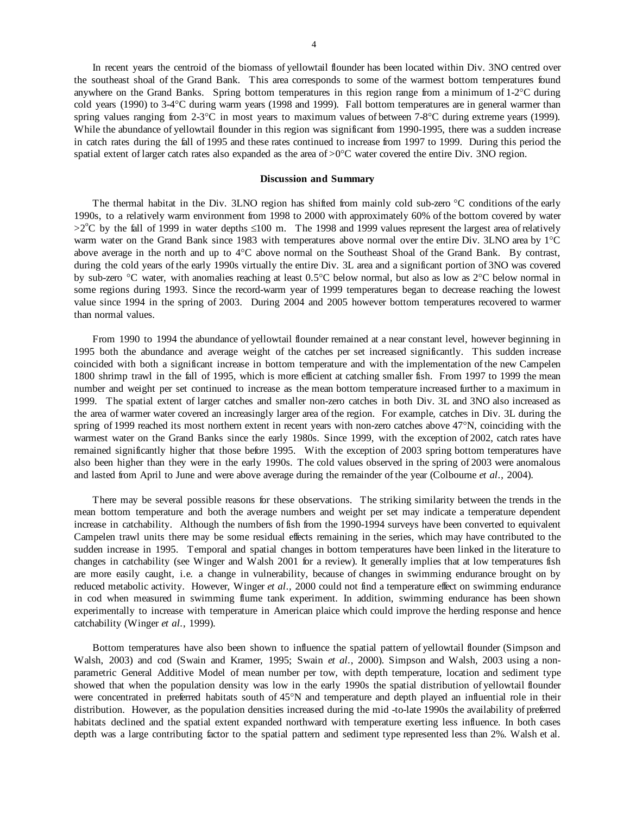In recent years the centroid of the biomass of yellowtail flounder has been located within Div. 3NO centred over the southeast shoal of the Grand Bank. This area corresponds to some of the warmest bottom temperatures found anywhere on the Grand Banks. Spring bottom temperatures in this region range from a minimum of 1-2°C during cold years (1990) to 3-4°C during warm years (1998 and 1999). Fall bottom temperatures are in general warmer than spring values ranging from 2-3°C in most years to maximum values of between 7-8°C during extreme years (1999). While the abundance of yellowtail flounder in this region was significant from 1990-1995, there was a sudden increase in catch rates during the fall of 1995 and these rates continued to increase from 1997 to 1999. During this period the spatial extent of larger catch rates also expanded as the area of  $>0^{\circ}$ C water covered the entire Div. 3NO region.

#### **Discussion and Summary**

 The thermal habitat in the Div. 3LNO region has shifted from mainly cold sub-zero °C conditions of the early 1990s, to a relatively warm environment from 1998 to 2000 with approximately 60% of the bottom covered by water >2<sup>o</sup>C by the fall of 1999 in water depths ≤100 m. The 1998 and 1999 values represent the largest area of relatively warm water on the Grand Bank since 1983 with temperatures above normal over the entire Div. 3LNO area by 1°C above average in the north and up to 4°C above normal on the Southeast Shoal of the Grand Bank. By contrast, during the cold years of the early 1990s virtually the entire Div. 3L area and a significant portion of 3NO was covered by sub-zero °C water, with anomalies reaching at least 0.5°C below normal, but also as low as 2°C below normal in some regions during 1993. Since the record-warm year of 1999 temperatures began to decrease reaching the lowest value since 1994 in the spring of 2003. During 2004 and 2005 however bottom temperatures recovered to warmer than normal values.

 From 1990 to 1994 the abundance of yellowtail flounder remained at a near constant level, however beginning in 1995 both the abundance and average weight of the catches per set increased significantly. This sudden increase coincided with both a significant increase in bottom temperature and with the implementation of the new Campelen 1800 shrimp trawl in the fall of 1995, which is more efficient at catching smaller fish. From 1997 to 1999 the mean number and weight per set continued to increase as the mean bottom temperature increased further to a maximum in 1999. The spatial extent of larger catches and smaller non-zero catches in both Div. 3L and 3NO also increased as the area of warmer water covered an increasingly larger area of the region. For example, catches in Div. 3L during the spring of 1999 reached its most northern extent in recent years with non-zero catches above 47°N, coinciding with the warmest water on the Grand Banks since the early 1980s. Since 1999, with the exception of 2002, catch rates have remained significantly higher that those before 1995. With the exception of 2003 spring bottom temperatures have also been higher than they were in the early 1990s. The cold values observed in the spring of 2003 were anomalous and lasted from April to June and were above average during the remainder of the year (Colbourne *et al*., 2004).

 There may be several possible reasons for these observations. The striking similarity between the trends in the mean bottom temperature and both the average numbers and weight per set may indicate a temperature dependent increase in catchability. Although the numbers of fish from the 1990-1994 surveys have been converted to equivalent Campelen trawl units there may be some residual effects remaining in the series, which may have contributed to the sudden increase in 1995. Temporal and spatial changes in bottom temperatures have been linked in the literature to changes in catchability (see Winger and Walsh 2001 for a review). It generally implies that at low temperatures fish are more easily caught, i.e. a change in vulnerability, because of changes in swimming endurance brought on by reduced metabolic activity. However, Winger *et al*., 2000 could not find a temperature effect on swimming endurance in cod when measured in swimming flume tank experiment. In addition, swimming endurance has been shown experimentally to increase with temperature in American plaice which could improve the herding response and hence catchability (Winger *et al*., 1999).

 Bottom temperatures have also been shown to influence the spatial pattern of yellowtail flounder (Simpson and Walsh, 2003) and cod (Swain and Kramer, 1995; Swain *et al*., 2000). Simpson and Walsh, 2003 using a nonparametric General Additive Model of mean number per tow, with depth temperature, location and sediment type showed that when the population density was low in the early 1990s the spatial distribution of yellowtail flounder were concentrated in preferred habitats south of 45°N and temperature and depth played an influential role in their distribution. However, as the population densities increased during the mid -to-late 1990s the availability of preferred habitats declined and the spatial extent expanded northward with temperature exerting less influence. In both cases depth was a large contributing factor to the spatial pattern and sediment type represented less than 2%. Walsh et al.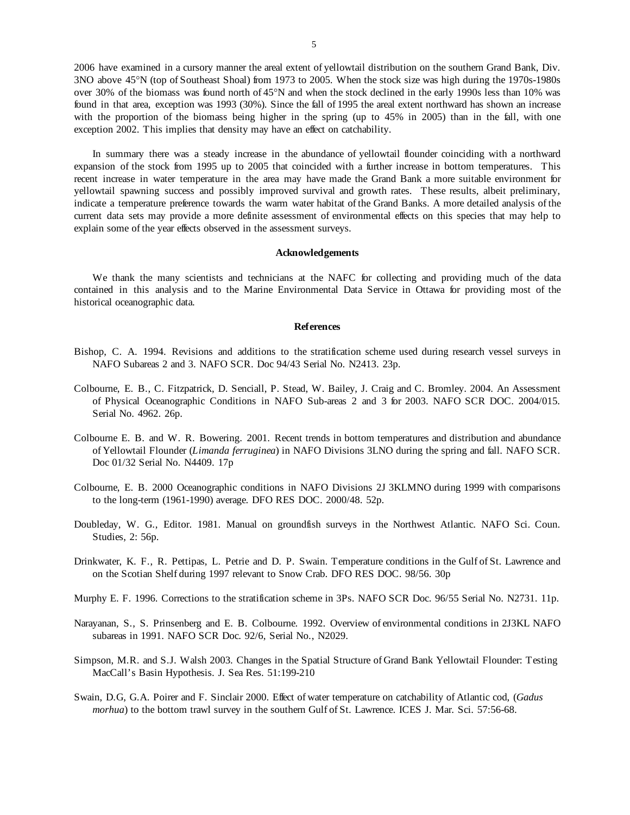2006 have examined in a cursory manner the areal extent of yellowtail distribution on the southern Grand Bank, Div. 3NO above 45°N (top of Southeast Shoal) from 1973 to 2005. When the stock size was high during the 1970s-1980s over 30% of the biomass was found north of 45°N and when the stock declined in the early 1990s less than 10% was found in that area, exception was 1993 (30%). Since the fall of 1995 the areal extent northward has shown an increase with the proportion of the biomass being higher in the spring (up to 45% in 2005) than in the fall, with one exception 2002. This implies that density may have an effect on catchability.

 In summary there was a steady increase in the abundance of yellowtail flounder coinciding with a northward expansion of the stock from 1995 up to 2005 that coincided with a further increase in bottom temperatures. This recent increase in water temperature in the area may have made the Grand Bank a more suitable environment for yellowtail spawning success and possibly improved survival and growth rates. These results, albeit preliminary, indicate a temperature preference towards the warm water habitat of the Grand Banks. A more detailed analysis of the current data sets may provide a more definite assessment of environmental effects on this species that may help to explain some of the year effects observed in the assessment surveys.

### **Acknowledgements**

We thank the many scientists and technicians at the NAFC for collecting and providing much of the data contained in this analysis and to the Marine Environmental Data Service in Ottawa for providing most of the historical oceanographic data.

### **References**

- Bishop, C. A. 1994. Revisions and additions to the stratification scheme used during research vessel surveys in NAFO Subareas 2 and 3. NAFO SCR. Doc 94/43 Serial No. N2413. 23p.
- Colbourne, E. B., C. Fitzpatrick, D. Senciall, P. Stead, W. Bailey, J. Craig and C. Bromley. 2004. An Assessment of Physical Oceanographic Conditions in NAFO Sub-areas 2 and 3 for 2003. NAFO SCR DOC. 2004/015. Serial No. 4962. 26p.
- Colbourne E. B. and W. R. Bowering. 2001. Recent trends in bottom temperatures and distribution and abundance of Yellowtail Flounder (*Limanda ferruginea*) in NAFO Divisions 3LNO during the spring and fall. NAFO SCR. Doc 01/32 Serial No. N4409. 17p
- Colbourne, E. B. 2000 Oceanographic conditions in NAFO Divisions 2J 3KLMNO during 1999 with comparisons to the long-term (1961-1990) average. DFO RES DOC. 2000/48. 52p.
- Doubleday, W. G., Editor. 1981. Manual on groundfish surveys in the Northwest Atlantic. NAFO Sci. Coun. Studies, 2: 56p.
- Drinkwater, K. F., R. Pettipas, L. Petrie and D. P. Swain. Temperature conditions in the Gulf of St. Lawrence and on the Scotian Shelf during 1997 relevant to Snow Crab. DFO RES DOC. 98/56. 30p
- Murphy E. F. 1996. Corrections to the stratification scheme in 3Ps. NAFO SCR Doc. 96/55 Serial No. N2731. 11p.
- Narayanan, S., S. Prinsenberg and E. B. Colbourne. 1992. Overview of environmental conditions in 2J3KL NAFO subareas in 1991. NAFO SCR Doc. 92/6, Serial No., N2029.
- Simpson, M.R. and S.J. Walsh 2003. Changes in the Spatial Structure of Grand Bank Yellowtail Flounder: Testing MacCall's Basin Hypothesis. J. Sea Res. 51:199-210
- Swain, D.G, G.A. Poirer and F. Sinclair 2000. Effect of water temperature on catchability of Atlantic cod, (*Gadus morhua*) to the bottom trawl survey in the southern Gulf of St. Lawrence. ICES J. Mar. Sci. 57:56-68.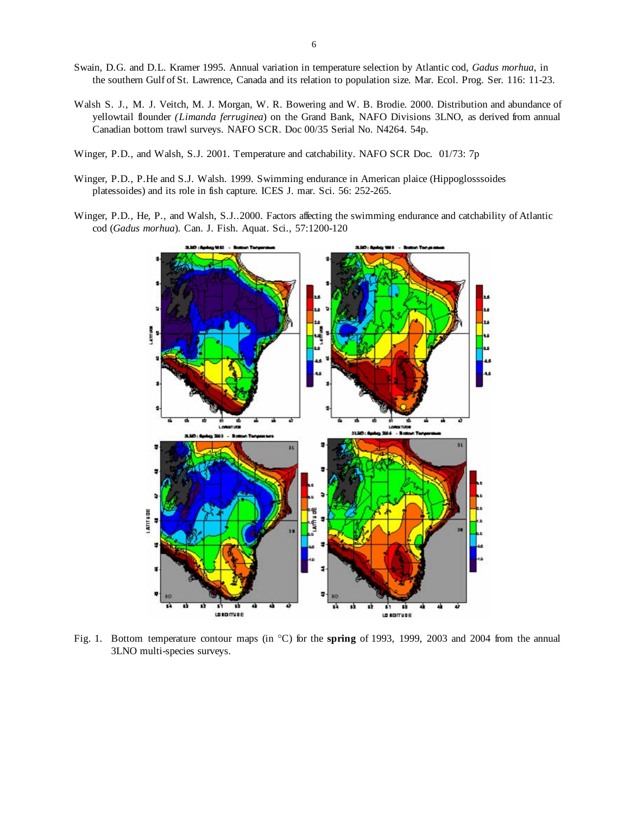- Swain, D.G. and D.L. Kramer 1995. Annual variation in temperature selection by Atlantic cod, *Gadus morhua*, in the southern Gulf of St. Lawrence, Canada and its relation to population size. Mar. Ecol. Prog. Ser. 116: 11-23.
- Walsh S. J., M. J. Veitch, M. J. Morgan, W. R. Bowering and W. B. Brodie. 2000. Distribution and abundance of yellowtail flounder *(Limanda ferruginea*) on the Grand Bank, NAFO Divisions 3LNO, as derived from annual Canadian bottom trawl surveys. NAFO SCR. Doc 00/35 Serial No. N4264. 54p.
- Winger, P.D., and Walsh, S.J. 2001. Temperature and catchability. NAFO SCR Doc. 01/73: 7p
- Winger, P.D., P.He and S.J. Walsh. 1999. Swimming endurance in American plaice (Hippoglosssoides platessoides) and its role in fish capture. ICES J. mar. Sci. 56: 252-265.
- Winger, P.D., He, P., and Walsh, S.J..2000. Factors affecting the swimming endurance and catchability of Atlantic cod (*Gadus morhua*). Can. J. Fish. Aquat. Sci., 57:1200-120



Fig. 1. Bottom temperature contour maps (in °C) for the **spring** of 1993, 1999, 2003 and 2004 from the annual 3LNO multi-species surveys.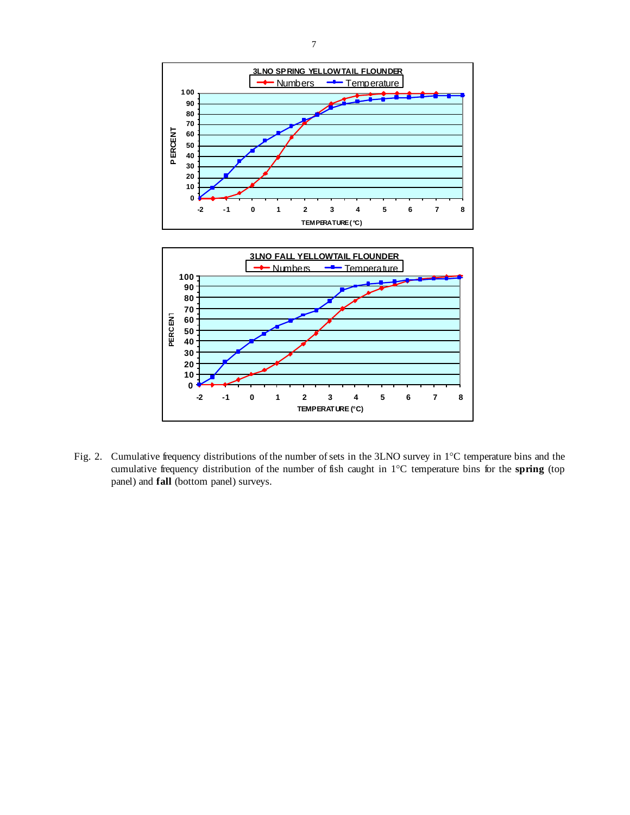

Fig. 2. Cumulative frequency distributions of the number of sets in the 3LNO survey in 1°C temperature bins and the cumulative frequency distribution of the number of fish caught in 1°C temperature bins for the **spring** (top panel) and **fall** (bottom panel) surveys.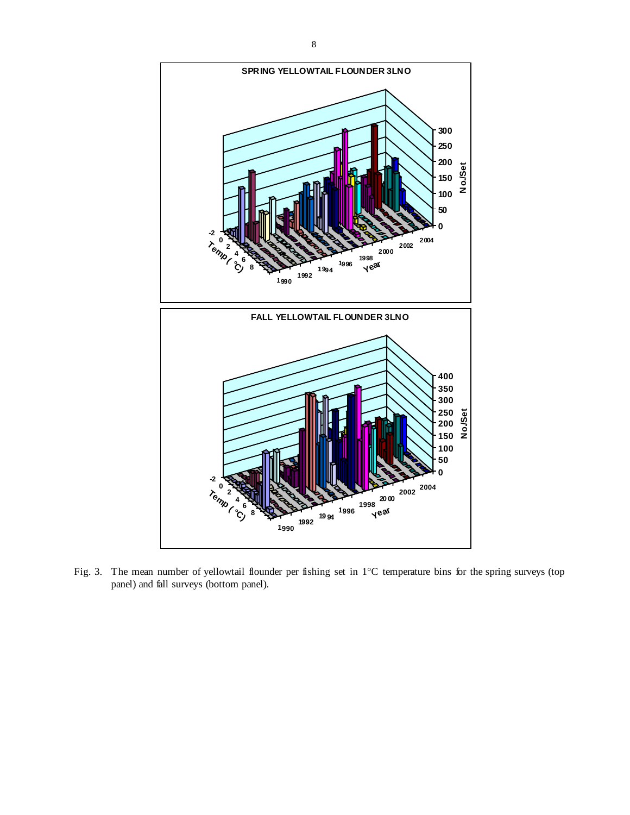

Fig. 3. The mean number of yellowtail flounder per fishing set in 1°C temperature bins for the spring surveys (top panel) and fall surveys (bottom panel).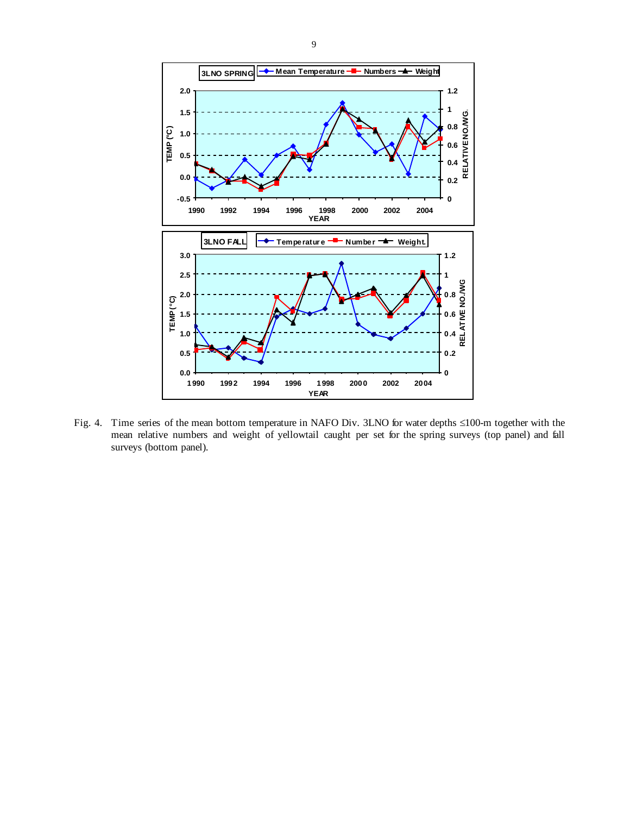

Fig. 4. Time series of the mean bottom temperature in NAFO Div. 3LNO for water depths ≤100-m together with the mean relative numbers and weight of yellowtail caught per set for the spring surveys (top panel) and fall surveys (bottom panel).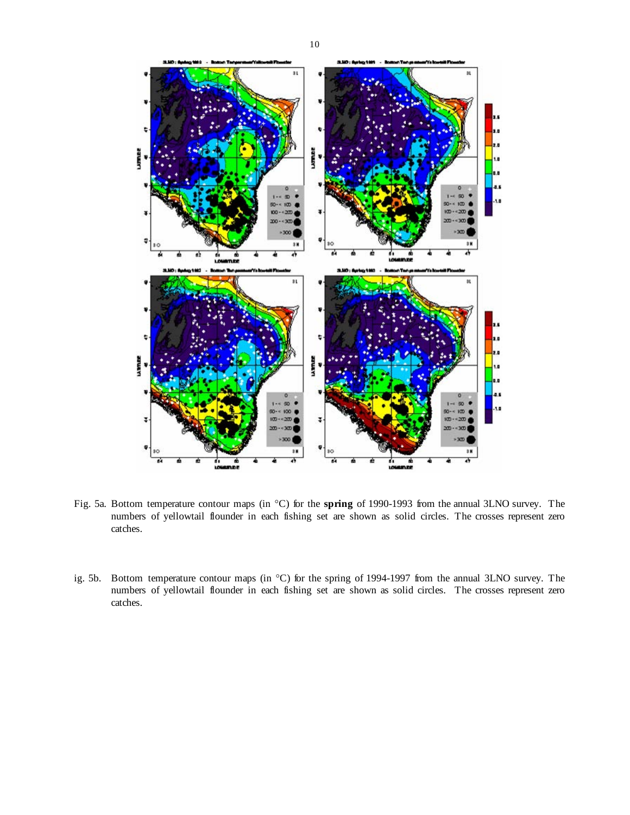

Fig. 5a. Bottom temperature contour maps (in °C) for the **spring** of 1990-1993 from the annual 3LNO survey. The numbers of yellowtail flounder in each fishing set are shown as solid circles. The crosses represent zero catches.

ig. 5b. Bottom temperature contour maps (in °C) for the spring of 1994-1997 from the annual 3LNO survey. The numbers of yellowtail flounder in each fishing set are shown as solid circles. The crosses represent zero catches.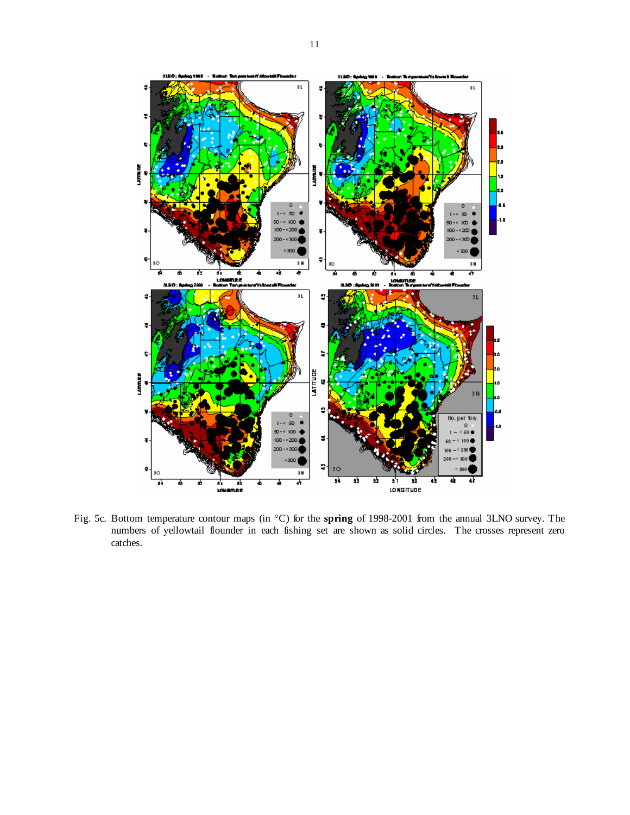

Fig. 5c. Bottom temperature contour maps (in °C) for the **spring** of 1998-2001 from the annual 3LNO survey. The numbers of yellowtail flounder in each fishing set are shown as solid circles. The crosses represent zero catches.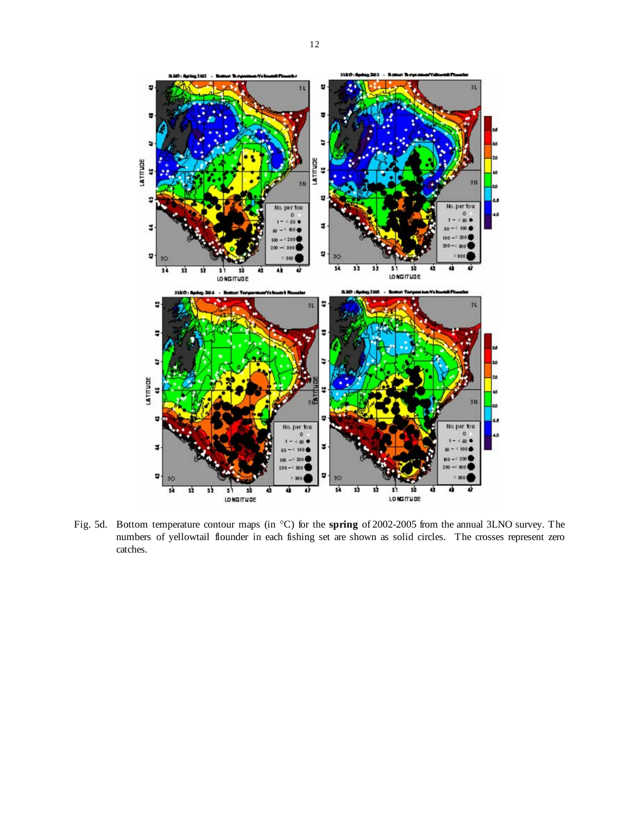

LATITUDE

ø

LATITUDE

ä

¥

ø

55 52

Fig. 5d. Bottom temperature contour maps (in °C) for the **spring** of 2002-2005 from the annual 3LNO survey. The numbers of yellowtail flounder in each fishing set are shown as solid circles. The crosses represent zero catches.

sk. 55 잜

s) sb<br>LONGITUDE

45

per tow

과

 $5<sup>1</sup>$   $5<sup>1</sup>$   $5<sup>1</sup>$ 

山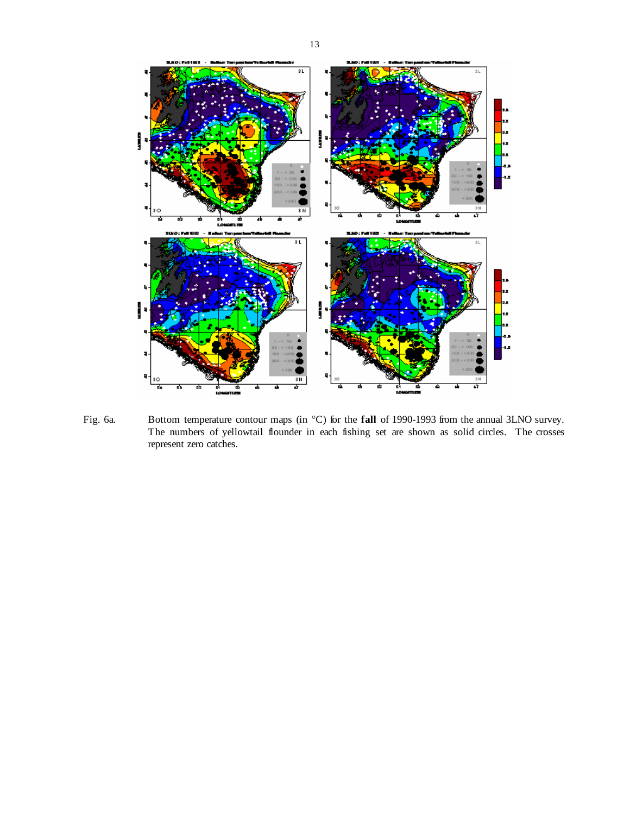

Fig. 6a. Bottom temperature contour maps (in °C) for the **fall** of 1990-1993 from the annual 3LNO survey. The numbers of yellowtail flounder in each fishing set are shown as solid circles. The crosses represent zero catches.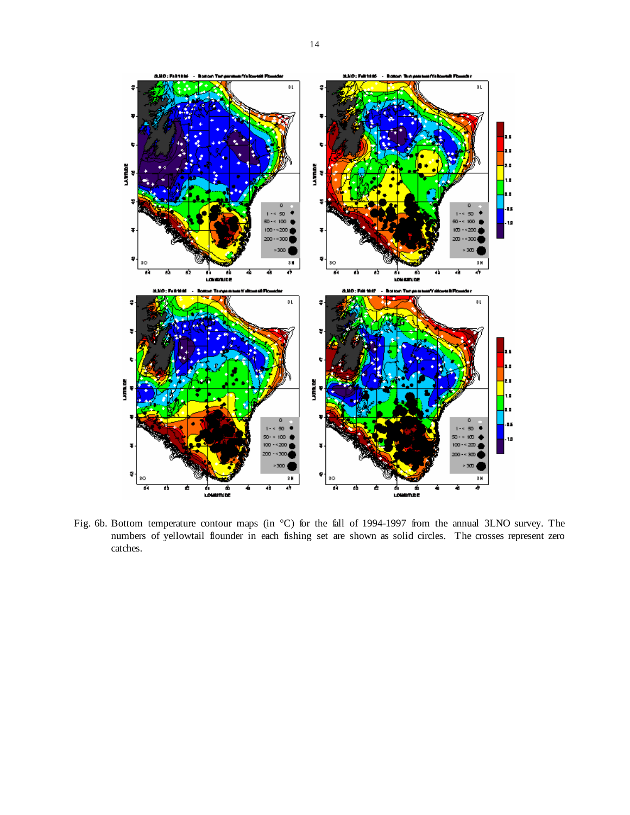

Fig. 6b. Bottom temperature contour maps (in °C) for the fall of 1994-1997 from the annual 3LNO survey. The numbers of yellowtail flounder in each fishing set are shown as solid circles. The crosses represent zero catches.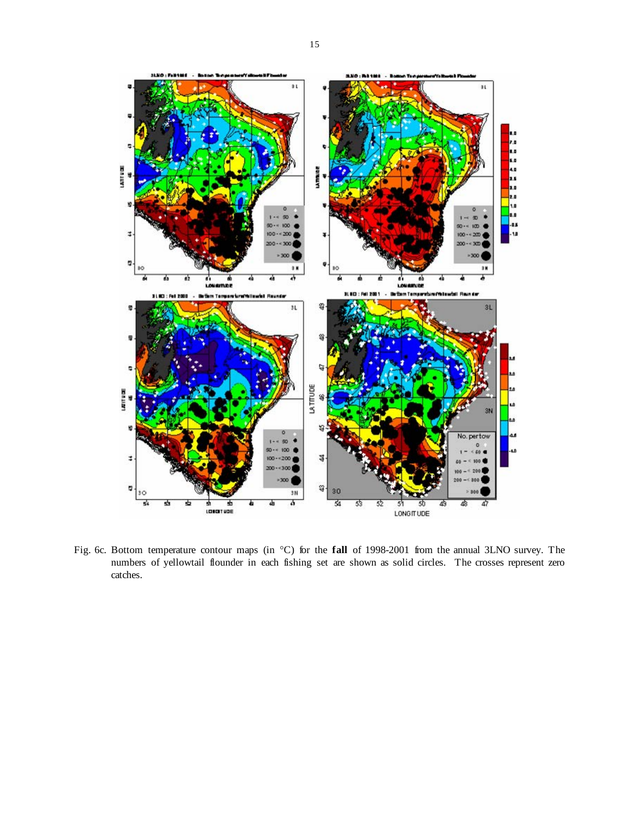

Fig. 6c. Bottom temperature contour maps (in °C) for the **fall** of 1998-2001 from the annual 3LNO survey. The numbers of yellowtail flounder in each fishing set are shown as solid circles. The crosses represent zero catches.